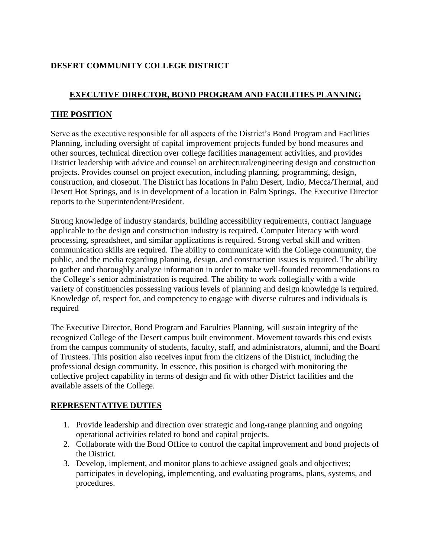# **DESERT COMMUNITY COLLEGE DISTRICT**

# **EXECUTIVE DIRECTOR, BOND PROGRAM AND FACILITIES PLANNING**

## **THE POSITION**

Serve as the executive responsible for all aspects of the District's Bond Program and Facilities Planning, including oversight of capital improvement projects funded by bond measures and other sources, technical direction over college facilities management activities, and provides District leadership with advice and counsel on architectural/engineering design and construction projects. Provides counsel on project execution, including planning, programming, design, construction, and closeout. The District has locations in Palm Desert, Indio, Mecca/Thermal, and Desert Hot Springs, and is in development of a location in Palm Springs. The Executive Director reports to the Superintendent/President.

Strong knowledge of industry standards, building accessibility requirements, contract language applicable to the design and construction industry is required. Computer literacy with word processing, spreadsheet, and similar applications is required. Strong verbal skill and written communication skills are required. The ability to communicate with the College community, the public, and the media regarding planning, design, and construction issues is required. The ability to gather and thoroughly analyze information in order to make well-founded recommendations to the College's senior administration is required. The ability to work collegially with a wide variety of constituencies possessing various levels of planning and design knowledge is required. Knowledge of, respect for, and competency to engage with diverse cultures and individuals is required

The Executive Director, Bond Program and Faculties Planning, will sustain integrity of the recognized College of the Desert campus built environment. Movement towards this end exists from the campus community of students, faculty, staff, and administrators, alumni, and the Board of Trustees. This position also receives input from the citizens of the District, including the professional design community. In essence, this position is charged with monitoring the collective project capability in terms of design and fit with other District facilities and the available assets of the College.

### **REPRESENTATIVE DUTIES**

- 1. Provide leadership and direction over strategic and long-range planning and ongoing operational activities related to bond and capital projects.
- 2. Collaborate with the Bond Office to control the capital improvement and bond projects of the District.
- 3. Develop, implement, and monitor plans to achieve assigned goals and objectives; participates in developing, implementing, and evaluating programs, plans, systems, and procedures.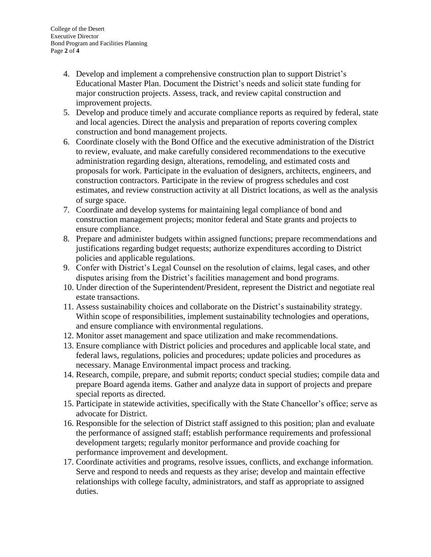- 4. Develop and implement a comprehensive construction plan to support District's Educational Master Plan. Document the District's needs and solicit state funding for major construction projects. Assess, track, and review capital construction and improvement projects.
- 5. Develop and produce timely and accurate compliance reports as required by federal, state and local agencies. Direct the analysis and preparation of reports covering complex construction and bond management projects.
- 6. Coordinate closely with the Bond Office and the executive administration of the District to review, evaluate, and make carefully considered recommendations to the executive administration regarding design, alterations, remodeling, and estimated costs and proposals for work. Participate in the evaluation of designers, architects, engineers, and construction contractors. Participate in the review of progress schedules and cost estimates, and review construction activity at all District locations, as well as the analysis of surge space.
- 7. Coordinate and develop systems for maintaining legal compliance of bond and construction management projects; monitor federal and State grants and projects to ensure compliance.
- 8. Prepare and administer budgets within assigned functions; prepare recommendations and justifications regarding budget requests; authorize expenditures according to District policies and applicable regulations.
- 9. Confer with District's Legal Counsel on the resolution of claims, legal cases, and other disputes arising from the District's facilities management and bond programs.
- 10. Under direction of the Superintendent/President, represent the District and negotiate real estate transactions.
- 11. Assess sustainability choices and collaborate on the District's sustainability strategy. Within scope of responsibilities, implement sustainability technologies and operations, and ensure compliance with environmental regulations.
- 12. Monitor asset management and space utilization and make recommendations.
- 13. Ensure compliance with District policies and procedures and applicable local state, and federal laws, regulations, policies and procedures; update policies and procedures as necessary. Manage Environmental impact process and tracking.
- 14. Research, compile, prepare, and submit reports; conduct special studies; compile data and prepare Board agenda items. Gather and analyze data in support of projects and prepare special reports as directed.
- 15. Participate in statewide activities, specifically with the State Chancellor's office; serve as advocate for District.
- 16. Responsible for the selection of District staff assigned to this position; plan and evaluate the performance of assigned staff; establish performance requirements and professional development targets; regularly monitor performance and provide coaching for performance improvement and development.
- 17. Coordinate activities and programs, resolve issues, conflicts, and exchange information. Serve and respond to needs and requests as they arise; develop and maintain effective relationships with college faculty, administrators, and staff as appropriate to assigned duties.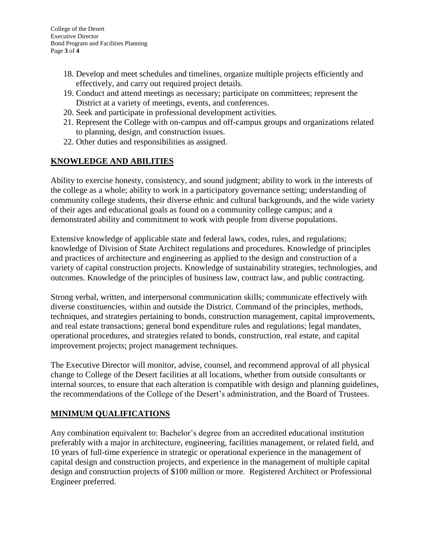- 18. Develop and meet schedules and timelines, organize multiple projects efficiently and effectively, and carry out required project details.
- 19. Conduct and attend meetings as necessary; participate on committees; represent the District at a variety of meetings, events, and conferences.
- 20. Seek and participate in professional development activities.
- 21. Represent the College with on-campus and off-campus groups and organizations related to planning, design, and construction issues.
- 22. Other duties and responsibilities as assigned.

### **KNOWLEDGE AND ABILITIES**

Ability to exercise honesty, consistency, and sound judgment; ability to work in the interests of the college as a whole; ability to work in a participatory governance setting; understanding of community college students, their diverse ethnic and cultural backgrounds, and the wide variety of their ages and educational goals as found on a community college campus; and a demonstrated ability and commitment to work with people from diverse populations.

Extensive knowledge of applicable state and federal laws, codes, rules, and regulations; knowledge of Division of State Architect regulations and procedures. Knowledge of principles and practices of architecture and engineering as applied to the design and construction of a variety of capital construction projects. Knowledge of sustainability strategies, technologies, and outcomes. Knowledge of the principles of business law, contract law, and public contracting.

Strong verbal, written, and interpersonal communication skills; communicate effectively with diverse constituencies, within and outside the District. Command of the principles, methods, techniques, and strategies pertaining to bonds, construction management, capital improvements, and real estate transactions; general bond expenditure rules and regulations; legal mandates, operational procedures, and strategies related to bonds, construction, real estate, and capital improvement projects; project management techniques.

The Executive Director will monitor, advise, counsel, and recommend approval of all physical change to College of the Desert facilities at all locations, whether from outside consultants or internal sources, to ensure that each alteration is compatible with design and planning guidelines, the recommendations of the College of the Desert's administration, and the Board of Trustees.

### **MINIMUM QUALIFICATIONS**

Any combination equivalent to: Bachelor's degree from an accredited educational institution preferably with a major in architecture, engineering, facilities management, or related field, and 10 years of full-time experience in strategic or operational experience in the management of capital design and construction projects, and experience in the management of multiple capital design and construction projects of \$100 million or more. Registered Architect or Professional Engineer preferred.